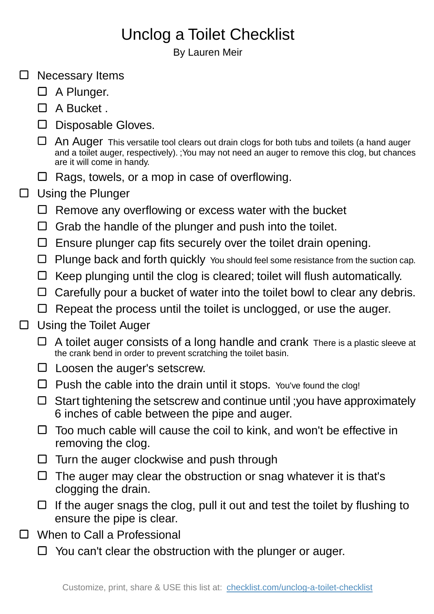## Unclog a Toilet Checklist

By Lauren Meir

- $\square$  Necessary Items □ A Plunger.  $\Box$  A Bucket.  $\square$  Disposable Gloves.  $\Box$  An Auger This versatile tool clears out drain clogs for both tubs and toilets (a hand auger and a toilet auger, respectively). ;You may not need an auger to remove this clog, but chances are it will come in handy.  $\Box$  Rags, towels, or a mop in case of overflowing.  $\Box$  Using the Plunger  $\Box$  Remove any overflowing or excess water with the bucket  $\Box$  Grab the handle of the plunger and push into the toilet.  $\square$  Ensure plunger cap fits securely over the toilet drain opening.  $\Box$  Plunge back and forth quickly You should feel some resistance from the suction cap.  $\Box$  Keep plunging until the clog is cleared; toilet will flush automatically.  $\Box$  Carefully pour a bucket of water into the toilet bowl to clear any debris.  $\Box$  Repeat the process until the toilet is unclogged, or use the auger. Using the Toilet Auger  $\Box$  A toilet auger consists of a long handle and crank There is a plastic sleeve at the crank bend in order to prevent scratching the toilet basin.  $\square$  Loosen the auger's setscrew.  $\Box$  Push the cable into the drain until it stops. You've found the clog!  $\Box$  Start tightening the setscrew and continue until ; you have approximately 6 inches of cable between the pipe and auger.  $\Box$  Too much cable will cause the coil to kink, and won't be effective in removing the clog.  $\Box$  Turn the auger clockwise and push through  $\Box$  The auger may clear the obstruction or snag whatever it is that's clogging the drain.  $\Box$  If the auger snags the clog, pull it out and test the toilet by flushing to ensure the pipe is clear.
- □ When to Call a Professional

 $\Box$ 

 $\Box$  You can't clear the obstruction with the plunger or auger.